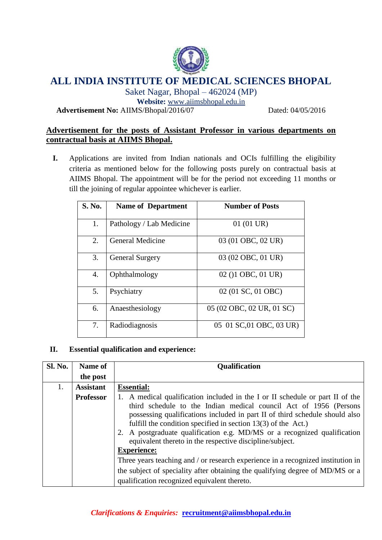

# **ALL INDIA INSTITUTE OF MEDICAL SCIENCES BHOPAL**

Saket Nagar, Bhopal – 462024 (MP)

**Website:** [www.aiimsbhopal.edu.in](http://www.aiimsbhopal.edu.in/)

**Advertisement No:** AIIMS/Bhopal/2016/07 Dated: 04/05/2016

# **Advertisement for the posts of Assistant Professor in various departments on contractual basis at AIIMS Bhopal.**

**I.** Applications are invited from Indian nationals and OCIs fulfilling the eligibility criteria as mentioned below for the following posts purely on contractual basis at AIIMS Bhopal. The appointment will be for the period not exceeding 11 months or till the joining of regular appointee whichever is earlier.

| S. No. | <b>Name of Department</b> | <b>Number of Posts</b>    |
|--------|---------------------------|---------------------------|
| 1.     | Pathology / Lab Medicine  | $01(01 \text{ UR})$       |
| 2.     | <b>General Medicine</b>   | 03 (01 OBC, 02 UR)        |
| 3.     | <b>General Surgery</b>    | 03 (02 OBC, 01 UR)        |
| 4.     | Ophthalmology             | 02 ()1 OBC, 01 UR)        |
| 5.     | Psychiatry                | 02 (01 SC, 01 OBC)        |
| 6.     | Anaesthesiology           | 05 (02 OBC, 02 UR, 01 SC) |
| 7.     | Radiodiagnosis            | 05 01 SC,01 OBC, 03 UR)   |

# **II. Essential qualification and experience:**

| <b>Sl. No.</b> | Name of          | <b>Qualification</b>                                                                                                                                                                                                                                                                                                                                                                                                                                                                                                                                                                                                                                                                 |
|----------------|------------------|--------------------------------------------------------------------------------------------------------------------------------------------------------------------------------------------------------------------------------------------------------------------------------------------------------------------------------------------------------------------------------------------------------------------------------------------------------------------------------------------------------------------------------------------------------------------------------------------------------------------------------------------------------------------------------------|
|                | the post         |                                                                                                                                                                                                                                                                                                                                                                                                                                                                                                                                                                                                                                                                                      |
| 1.             | <b>Assistant</b> | <b>Essential:</b>                                                                                                                                                                                                                                                                                                                                                                                                                                                                                                                                                                                                                                                                    |
|                | <b>Professor</b> | A medical qualification included in the I or II schedule or part II of the<br>third schedule to the Indian medical council Act of 1956 (Persons<br>possessing qualifications included in part II of third schedule should also<br>fulfill the condition specified in section $13(3)$ of the Act.)<br>2. A postgraduate qualification e.g. MD/MS or a recognized qualification<br>equivalent thereto in the respective discipline/subject.<br><b>Experience:</b><br>Three years teaching and / or research experience in a recognized institution in<br>the subject of speciality after obtaining the qualifying degree of MD/MS or a<br>qualification recognized equivalent thereto. |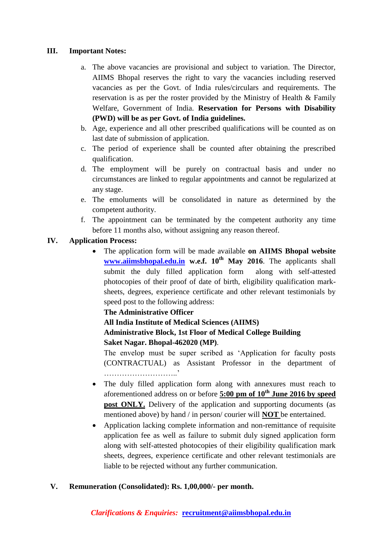#### **III. Important Notes:**

- a. The above vacancies are provisional and subject to variation. The Director, AIIMS Bhopal reserves the right to vary the vacancies including reserved vacancies as per the Govt. of India rules/circulars and requirements. The reservation is as per the roster provided by the Ministry of Health & Family Welfare, Government of India. **Reservation for Persons with Disability (PWD) will be as per Govt. of India guidelines.**
- b. Age, experience and all other prescribed qualifications will be counted as on last date of submission of application.
- c. The period of experience shall be counted after obtaining the prescribed qualification.
- d. The employment will be purely on contractual basis and under no circumstances are linked to regular appointments and cannot be regularized at any stage.
- e. The emoluments will be consolidated in nature as determined by the competent authority.
- f. The appointment can be terminated by the competent authority any time before 11 months also, without assigning any reason thereof.

## **IV. Application Process:**

 The application form will be made available **on AIIMS Bhopal website [www.aiimsbhopal.edu.in](http://www.aiimsbhopal.edu.in/) w.e.f. 10th May 2016**. The applicants shall submit the duly filled application form along with self-attested photocopies of their proof of date of birth, eligibility qualification marksheets, degrees, experience certificate and other relevant testimonials by speed post to the following address:

## **The Administrative Officer**

**All India Institute of Medical Sciences (AIIMS)** 

### **Administrative Block, 1st Floor of Medical College Building Saket Nagar. Bhopal-462020 (MP)**.

The envelop must be super scribed as 'Application for faculty posts (CONTRACTUAL) as Assistant Professor in the department of ………………………..'

- The duly filled application form along with annexures must reach to aforementioned address on or before **5:00 pm of 10th June 2016 by speed post ONLY.** Delivery of the application and supporting documents (as mentioned above) by hand / in person/ courier will **NOT** be entertained.
- Application lacking complete information and non-remittance of requisite application fee as well as failure to submit duly signed application form along with self-attested photocopies of their eligibility qualification mark sheets, degrees, experience certificate and other relevant testimonials are liable to be rejected without any further communication.

#### **V. Remuneration (Consolidated): Rs. 1,00,000/- per month.**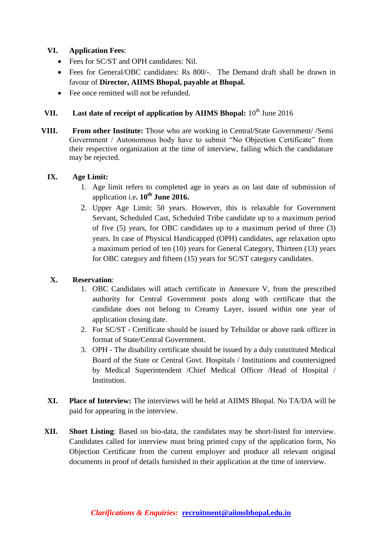## **VI. Application Fees**:

- Fees for SC/ST and OPH candidates: Nil.
- Fees for General/OBC candidates: Rs 800/-. The Demand draft shall be drawn in favour of **Director, AIIMS Bhopal, payable at Bhopal.**
- Fee once remitted will not be refunded.

# **VII.** Last date of receipt of application by AIIMS Bhopal:  $10^{th}$  June 2016

**VIII. From other Institute:** Those who are working in Central/State Government/ /Semi Government / Autonomous body have to submit "No Objection Certificate" from their respective organization at the time of interview, failing which the candidature may be rejected.

## **IX. Age Limit:**

- 1. Age limit refers to completed age in years as on last date of submission of application i.e**. 10th June 2016.**
- 2. Upper Age Limit: 50 years. However, this is relaxable for Government Servant, Scheduled Cast, Scheduled Tribe candidate up to a maximum period of five (5) years, for OBC candidates up to a maximum period of three (3) years. In case of Physical Handicapped (OPH) candidates, age relaxation upto a maximum period of ten (10) years for General Category, Thirteen (13) years for OBC category and fifteen (15) years for SC/ST category candidates.

## **X. Reservation**:

- 1. OBC Candidates will attach certificate in Annexure V, from the prescribed authority for Central Government posts along with certificate that the candidate does not belong to Creamy Layer, issued within one year of application closing date.
- 2. For SC/ST Certificate should be issued by Tehsildar or above rank officer in format of State/Central Government.
- 3. OPH The disability certificate should be issued by a duly constituted Medical Board of the State or Central Govt. Hospitals / Institutions and countersigned by Medical Superintendent /Chief Medical Officer /Head of Hospital / Institution.
- **XI. Place of Interview:** The interviews will be held at AIIMS Bhopal. No TA/DA will be paid for appearing in the interview.
- **XII. Short Listing**: Based on bio-data, the candidates may be short-listed for interview. Candidates called for interview must bring printed copy of the application form, No Objection Certificate from the current employer and produce all relevant original documents in proof of details furnished in their application at the time of interview.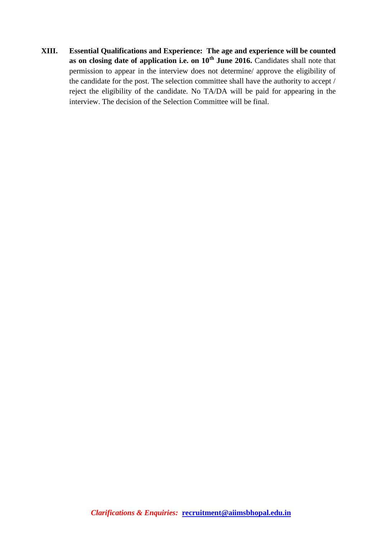**XIII. Essential Qualifications and Experience: The age and experience will be counted as on closing date of application i.e. on 10th June 2016.** Candidates shall note that permission to appear in the interview does not determine/ approve the eligibility of the candidate for the post. The selection committee shall have the authority to accept / reject the eligibility of the candidate. No TA/DA will be paid for appearing in the interview. The decision of the Selection Committee will be final.